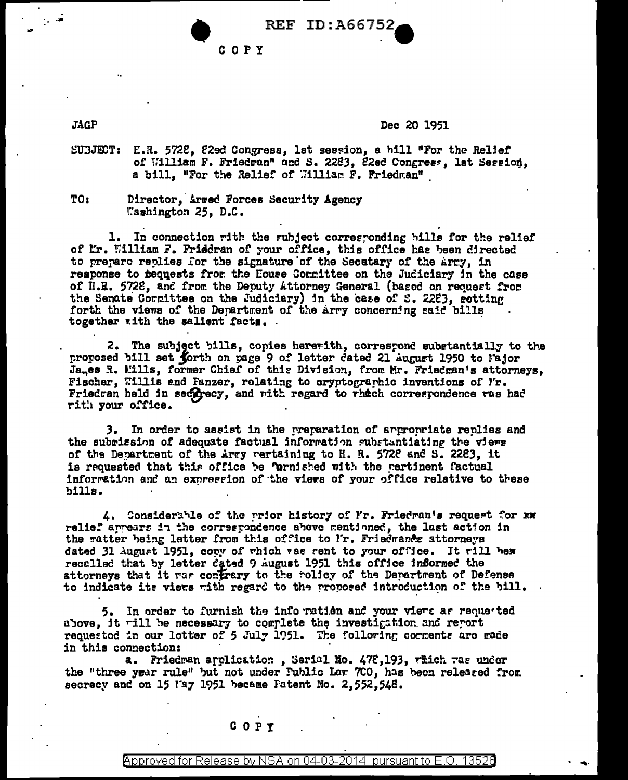| REF | ID:A66752, |  |  |  |  |
|-----|------------|--|--|--|--|
|     |            |  |  |  |  |

COPY

**JAGP** 

## Dec 20 1951

- SUBJECT: E.R. 5728, 82ed Congress, 1st session, a hill "For the Relief of William F. Friedran" and S. 2283, 22ed Congress, lat Session, a bill, "For the Relief of William F. Friedman"
- TO: Director, Armed Forces Security Agency Washington 25, D.C.

1. In connection with the subject corresponding bills for the relief of Ir. William F. Friedran of your office, this office has been directed to prepare replies for the signature of the Secutary of the Army, in response to requests from the House Committee on the Judiciary in the case of H.R. 5728, and from the Deputy Attorney General (based on request from the Senate Corrittee on the Judiciary) in the case of S. 2283, setting forth the views of the Department of the arry concerning said bills together with the salient facts.

2. The subject bills, copies hererith, correspond substantially to the proposed bill set forth on page 9 of letter dated 21 August 1950 to lajor Jages R. Mills, former Chief of this Division, from Mr. Friedman's attorneys, Fischer, Willis and Panzer, relating to cryptographic inventions of I'r. Friedran held in secorecy, and with regard to which correspondence was had rith your office.

3. In order to assist in the preparation of appropriate replies and the subrission of adequate factual information substantiating the views of the Department of the Arry rertaining to H. R. 5728 and S. 2283, it is requested that this office be fornished with the pertinent factual information and an expression of the views of your office relative to these bills.

4. Considerable of the prior history of Fr. Friedman's request for xx relief arrears in the correspondence above mentioned, the last action in the matter being letter from this office to Ir. Friedmance attorneys dated 31 August 1951, copy of which was rent to your office. It will hem recalled that by letter dated 9 August 1951 this office informed the attorneys that it war confrary to the rolicy of the Department of Defense to indicate ite views with regard to the proposed introduction of the bill.

5. In order to furnish the information and your views as requested above, it will be necessary to complete the investigation and report requested in our letter of 5 July 1951. The folloring corrents are made in this connection:

a. Friedman arplication, Serial No. 478,193, rhich was under the "three year rule" but not under Public Law 700, has been released from secrecy and on 15 May 1951 became Fatent No. 2,552,548.

## C O P Y

Approved for Release by NSA on 04-03-2014 pursuant to E.O. 13520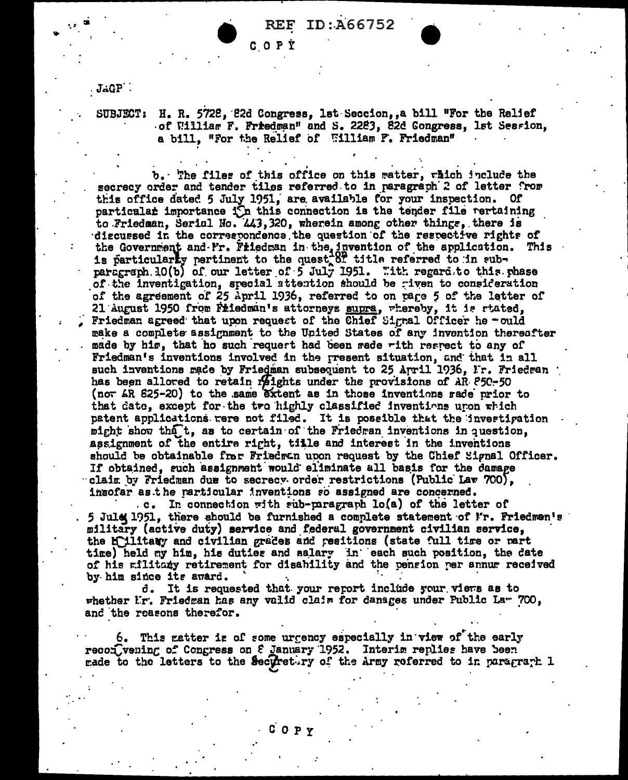ID:A66752

COPÝ

 $JAGP$ 

H. R. 5728, 22d Congress, 1st Seccion, a bill "For the Relief **SUBJECT:** of William F. Friedman" and S. 2283, 82d Congress, 1st Session, a bill, "For the Relief of William F. Friedman"

b. The files of this office on this ratter, rhich include the secrecy order and tender tiles referred to in paragraph 2 of letter from this office dated 5 July 1951, are available for your inspection. Of particalar importance in this connection is the tender file rertaining to Friedman, Serial No. 443, 320, wherein among other things, there is discussed in the correspondence the question of the respective rights of the Government and Fr. Friedman in the invention of the application. This is particularly pertinent to the quest of title referred to in sub-<br>paragraph 10(b) of our letter of 5 July 1951. "ith regard to this phase of the inventigation, special attention should be riven to consideration of the agreement of 25 April 1936, referred to on page 5 of the letter of 21 August 1950 from Friedman's attorneys supra, whereby, it is stated, Friedman agreed that upon request of the Chief Signal Officer he - ould make a complete assignment to the United States of any invention thereafter made by him, that ho such request had been made with respect to any of Friedman's inventions involved in the rresent situation, and that in all such inventions made by Friedman subsequent to 25 April 1936, Fr. Friedman has been allored to retain reights under the provisions of AR 850-50 (not AR 825-20) to the same extent as in those inventions rade prior to that date, except for the two highly classified inventions upon which patent applications were not filed. It is possible that the investigation might show that, as to certain of the Friedran inventions in question, assignment of the entire right, tille and interest in the inventions should be obtainable fror Friedran upon request by the Chief Signal Officer. If obtained, such assignment would eliminate all basis for the damage claim by Friedman due to secrecy order restrictions (Public Law 700), insofar as the rarticular inventions so assigned are concerned.

In connection with sub-paragraph lo(a) of the letter of  $\mathbf{c}$ . 5 Jule 1951, there should be furnished a complete statement of I'r. Friedman's military (active duty) service and federal government civilian service, the hillitary and civilian grades and resitions (state full time or nart time) held my him, his duties and salary in each such position, the date of his militaty retirement for disability and the pension per annum received by him since its award.

d. It is requested that your report include your viers as to whether Ir. Friedran has any valid claim for danages under Public Law 700, and the reasons therefor.

6. This natter is of some urgency especially in view of the early recon vening of Congress on 8 January 1952. Interim replies have been made to the letters to the Securetury of the Army referred to in paragraph 1

COPY